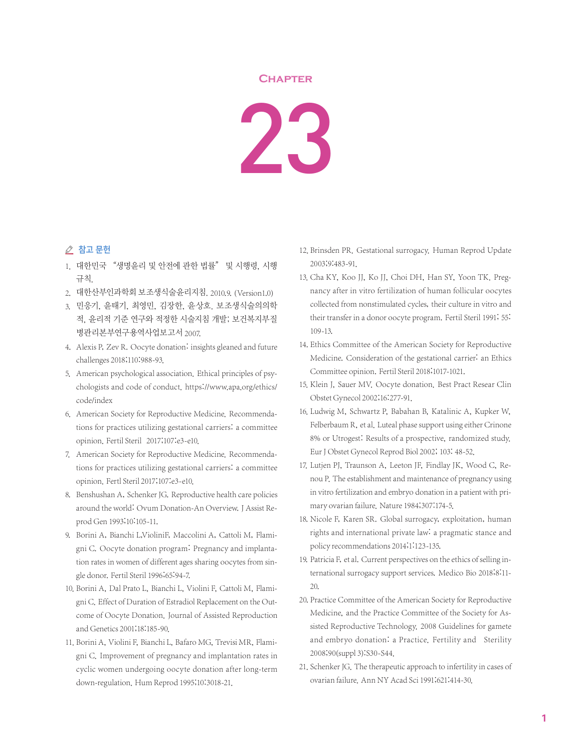## **Chapter**

23

## ⊘ 참고 문헌

- 1. 대한민국 "생명윤리 및 안전에 관한 법률" 및 시행령, 시행 규칙.
- 2. 대한산부인과학회 보조생식술윤리지침. 2010.9.(Version1.0)
- 3. 민응기, 윤태기, 최영민, 김장한, 윤상호. 보조생식술의의학 적, 윤리적 기준 연구와 적정한 시술지침 개발; 보건복지부질 병관리본부연구용역사업보고서 2007.
- 4. Alexis P, Zev R. Oocyte donation: insights gleaned and future challenges 2018;110:988-93.
- 5. American psychological association. Ethical principles of psychologists and code of conduct. https://www.apa.org/ethics/ code/index
- 6. American Society for Reproductive Medicine. Recommendations for practices utilizing gestational carriers: a committee opinion. Fertil Steril 2017;107:e3-e10.
- 7. American Society for Reproductive Medicine. Recommendations for practices utilizing gestational carriers: a committee opinion. Fertl Steril 2017;107:e3-e10.
- 8. Benshushan A, Schenker JG. Reproductive health care policies around the world: Ovum Donation-An Overview. J Assist Reprod Gen 1993;10:105-11.
- 9. Borini A, Bianchi L,VioliniF, Maccolini A, Cattoli M, Flamigni C. Oocyte donation program: Pregnancy and implantation rates in women of different ages sharing oocytes from single donor. Fertil Steril 1996;65:94-7.
- 10. Borini A, Dal Prato L, Bianchi L, Violini F, Cattoli M, Flamigni C. Effect of Duration of Estradiol Replacement on the Outcome of Oocyte Donation. Journal of Assisted Reproduction and Genetics 2001;18:185-90.
- 11. Borini A, Violini F, Bianchi L, Bafaro MG, Trevisi MR, Flamigni C. Improvement of pregnancy and implantation rates in cyclic women undergoing oocyte donation after long-term down-regulation. Hum Reprod 1995;10:3018-21.
- 12. Brinsden PR. Gestational surrogacy. Human Reprod Update 2003;9:483-91.
- 13. Cha KY, Koo JJ, Ko JJ, Choi DH, Han SY, Yoon TK. Pregnancy after in vitro fertilization of human follicular oocytes collected from nonstimulated cycles, their culture in vitro and their transfer in a donor oocyte program. Fertil Steril 1991; 55: 109-13.
- 14. Ethics Committee of the American Society for Reproductive Medicine. Consideration of the gestational carrier: an Ethics Committee opinion. Fertil Steril 2018;1017-1021.
- 15. Klein J, Sauer MV. Oocyte donation. Best Pract Resear Clin Obstet Gynecol 2002;16:277-91.
- 16. Ludwig M, Schwartz P, Babahan B, Katalinic A, Kupker W, Felberbaum R, et al. Luteal phase support using either Crinone 8% or Utrogest: Results of a prospective, randomized study. Eur J Obstet Gynecol Reprod Biol 2002; 103: 48-52.
- 17. Lutjen PJ, Traunson A, Leeton JF, Findlay JK, Wood C, Renou P. The establishment and maintenance of pregnancy using in vitro fertilization and embryo donation in a patient with primary ovarian failure. Nature 1984;307:174-5.
- 18. Nicole F, Karen SR. Global surrogacy, exploitation, human rights and international private law: a pragmatic stance and policy recommendations 2014;1:123-135.
- 19. Patricia F, et al. Current perspectives on the ethics of selling international surrogacy support services. Medico Bio 2018;8:11- 20.
- 20. Practice Committee of the American Society for Reproductive Medicine, and the Practice Committee of the Society for Assisted Reproductive Technology. 2008 Guidelines for gamete and embryo donation: a Practice. Fertility and Sterility 2008;90(suppl 3):S30-S44.
- 21. Schenker JG. The therapeutic approach to infertility in cases of ovarian failure. Ann NY Acad Sci 1991;621:414-30.